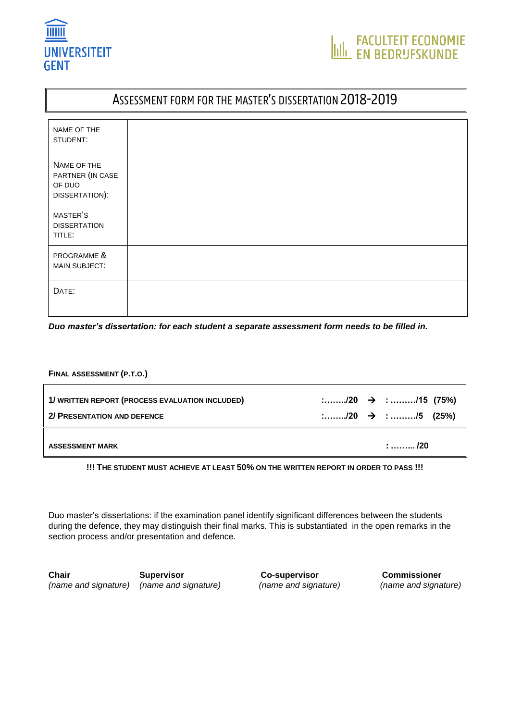

# ASSESSMENT FORM FOR THE MASTER'S DISSERTATION 2018-2019

| NAME OF THE<br>STUDENT:                                     |  |
|-------------------------------------------------------------|--|
| NAME OF THE<br>PARTNER (IN CASE<br>OF DUO<br>DISSERTATION): |  |
| MASTER'S<br><b>DISSERTATION</b><br>TITLE:                   |  |
| PROGRAMME &<br>MAIN SUBJECT:                                |  |
| DATE:                                                       |  |

*Duo master's dissertation: for each student a separate assessment form needs to be filled in.*

#### **FINAL ASSESSMENT (P.T.O.)**

| 1/ WRITTEN REPORT (PROCESS EVALUATION INCLUDED) |  | $\ldots \ldots \ldots \ldots \ldots \rightarrow \ldots \ldots \ldots \ldots \ldots \ldots \ldots \ldots \ldots \ldots \ldots \ldots$ |
|-------------------------------------------------|--|--------------------------------------------------------------------------------------------------------------------------------------|
| 2/ PRESENTATION AND DEFENCE                     |  |                                                                                                                                      |
| <b>ASSESSMENT MARK</b>                          |  | $\ldots \ldots \ldots$ /20                                                                                                           |

**!!! THE STUDENT MUST ACHIEVE AT LEAST 50% ON THE WRITTEN REPORT IN ORDER TO PASS !!!**

Duo master's dissertations: if the examination panel identify significant differences between the students during the defence, they may distinguish their final marks. This is substantiated in the open remarks in the section process and/or presentation and defence.

**Chair Supervisor Co-supervisor Commissioner** *(name and signature) (name and signature) (name and signature) (name and signature)*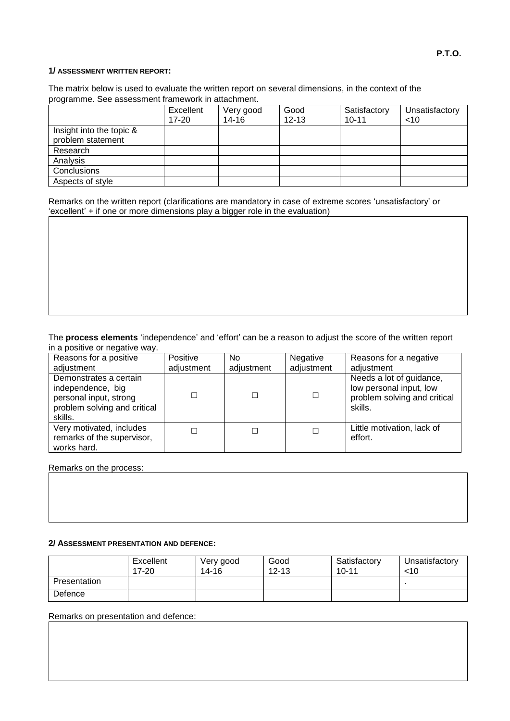### **1/ ASSESSMENT WRITTEN REPORT:**

The matrix below is used to evaluate the written report on several dimensions, in the context of the programme. See assessment framework in attachment.

|                                               | Excellent<br>17-20 | Very good<br>$14 - 16$ | Good<br>$12 - 13$ | Satisfactory<br>$10 - 11$ | Unsatisfactory<br>$<$ 10 |
|-----------------------------------------------|--------------------|------------------------|-------------------|---------------------------|--------------------------|
| Insight into the topic &<br>problem statement |                    |                        |                   |                           |                          |
| Research                                      |                    |                        |                   |                           |                          |
| Analysis                                      |                    |                        |                   |                           |                          |
| Conclusions                                   |                    |                        |                   |                           |                          |
| Aspects of style                              |                    |                        |                   |                           |                          |

Remarks on the written report (clarifications are mandatory in case of extreme scores 'unsatisfactory' or 'excellent' + if one or more dimensions play a bigger role in the evaluation)

#### The **process elements** 'independence' and 'effort' can be a reason to adjust the score of the written report in a positive or negative way.

| Reasons for a positive<br>adjustment                                                                             | Positive   | No.        | Negative<br>adjustment   | Reasons for a negative<br>adjustment                                                           |
|------------------------------------------------------------------------------------------------------------------|------------|------------|--------------------------|------------------------------------------------------------------------------------------------|
|                                                                                                                  | adjustment | adjustment |                          |                                                                                                |
| Demonstrates a certain<br>independence, big<br>personal input, strong<br>problem solving and critical<br>skills. |            |            | □                        | Needs a lot of guidance,<br>low personal input, low<br>problem solving and critical<br>skills. |
| Very motivated, includes<br>remarks of the supervisor,<br>works hard.                                            | □          |            | $\overline{\phantom{a}}$ | Little motivation, lack of<br>effort.                                                          |

Remarks on the process:

#### **2/ ASSESSMENT PRESENTATION AND DEFENCE:**

|              | Excellent<br>$17 - 20$ | Very good<br>$14 - 16$ | Good<br>$12 - 13$ | Satisfactory<br>$10 - 11$ | Unsatisfactory<br>$<$ 10 |
|--------------|------------------------|------------------------|-------------------|---------------------------|--------------------------|
| Presentation |                        |                        |                   |                           |                          |
| Defence      |                        |                        |                   |                           |                          |

Remarks on presentation and defence: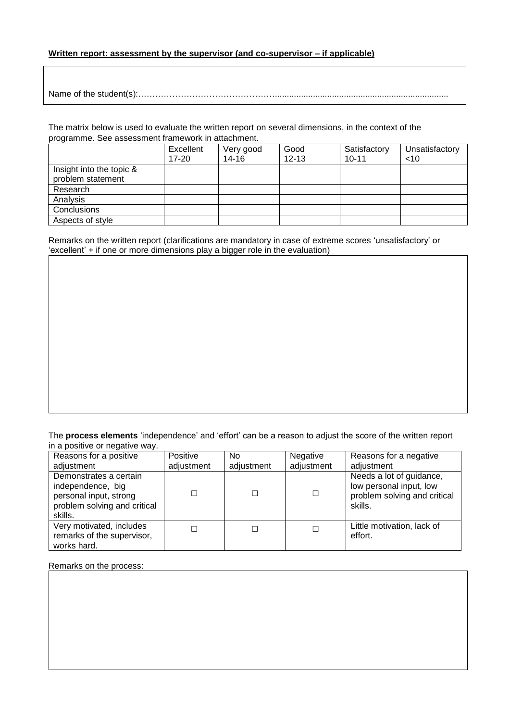### **Written report: assessment by the supervisor (and co-supervisor – if applicable)**

Name of the student(s):………………………………………….........................................................................

The matrix below is used to evaluate the written report on several dimensions, in the context of the programme. See assessment framework in attachment.

|                                               | Excellent | Very good | Good      | Satisfactory | Unsatisfactory |
|-----------------------------------------------|-----------|-----------|-----------|--------------|----------------|
|                                               | $17 - 20$ | $14 - 16$ | $12 - 13$ | $10 - 11$    | $<$ 10         |
| Insight into the topic &<br>problem statement |           |           |           |              |                |
| Research                                      |           |           |           |              |                |
| Analysis                                      |           |           |           |              |                |
| Conclusions                                   |           |           |           |              |                |
| Aspects of style                              |           |           |           |              |                |

Remarks on the written report (clarifications are mandatory in case of extreme scores 'unsatisfactory' or 'excellent' + if one or more dimensions play a bigger role in the evaluation)

The **process elements** 'independence' and 'effort' can be a reason to adjust the score of the written report in a positive or negative way.

| Reasons for a positive                                                                                           | Positive   | No.        | Negative   | Reasons for a negative                                                                         |
|------------------------------------------------------------------------------------------------------------------|------------|------------|------------|------------------------------------------------------------------------------------------------|
| adjustment                                                                                                       | adjustment | adjustment | adjustment | adiustment                                                                                     |
| Demonstrates a certain<br>independence, big<br>personal input, strong<br>problem solving and critical<br>skills. | $\Box$     |            | □          | Needs a lot of guidance,<br>low personal input, low<br>problem solving and critical<br>skills. |
| Very motivated, includes<br>remarks of the supervisor,<br>works hard.                                            | П          |            | □          | Little motivation, lack of<br>effort.                                                          |

Remarks on the process: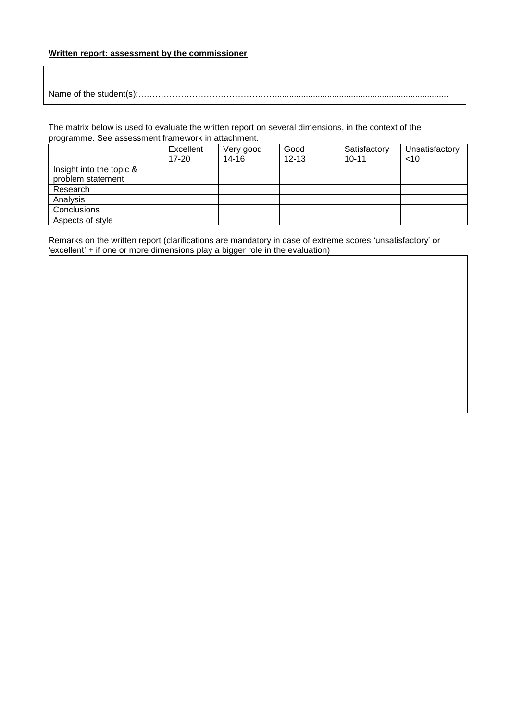## **Written report: assessment by the commissioner**

Name of the student(s):………………………………………….........................................................................

The matrix below is used to evaluate the written report on several dimensions, in the context of the programme. See assessment framework in attachment.

|                                               | Excellent | Very good | Good      | Satisfactory | Unsatisfactory |
|-----------------------------------------------|-----------|-----------|-----------|--------------|----------------|
|                                               | $17 - 20$ | 14-16     | $12 - 13$ | $10 - 11$    | ~10            |
| Insight into the topic &<br>problem statement |           |           |           |              |                |
| Research                                      |           |           |           |              |                |
| Analysis                                      |           |           |           |              |                |
| Conclusions                                   |           |           |           |              |                |
| Aspects of style                              |           |           |           |              |                |

Remarks on the written report (clarifications are mandatory in case of extreme scores 'unsatisfactory' or 'excellent' + if one or more dimensions play a bigger role in the evaluation)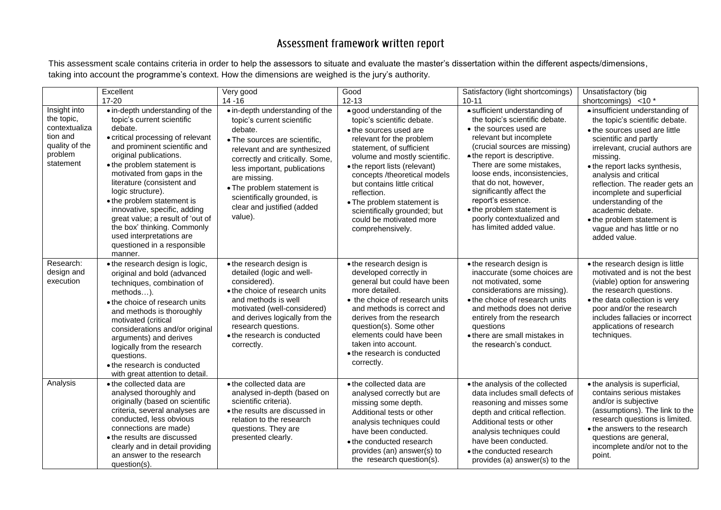# Assessment framework written report

This assessment scale contains criteria in order to help the assessors to situate and evaluate the master's dissertation within the different aspects/dimensions, taking into account the programme's context. How the dimensions are weighed is the jury's authority.

|                                                                                                   | Excellent<br>$17 - 20$                                                                                                                                                                                                                                                                                                                                                                                                                                                                        | Very good<br>$14 - 16$                                                                                                                                                                                                                                                                                                             | Good<br>$12 - 13$                                                                                                                                                                                                                                                                                                                                                                                         | Satisfactory (light shortcomings)<br>$10 - 11$                                                                                                                                                                                                                                                                                                                                                                     | Unsatisfactory (big<br>shortcomings) <10 *                                                                                                                                                                                                                                                                                                                                                                                   |
|---------------------------------------------------------------------------------------------------|-----------------------------------------------------------------------------------------------------------------------------------------------------------------------------------------------------------------------------------------------------------------------------------------------------------------------------------------------------------------------------------------------------------------------------------------------------------------------------------------------|------------------------------------------------------------------------------------------------------------------------------------------------------------------------------------------------------------------------------------------------------------------------------------------------------------------------------------|-----------------------------------------------------------------------------------------------------------------------------------------------------------------------------------------------------------------------------------------------------------------------------------------------------------------------------------------------------------------------------------------------------------|--------------------------------------------------------------------------------------------------------------------------------------------------------------------------------------------------------------------------------------------------------------------------------------------------------------------------------------------------------------------------------------------------------------------|------------------------------------------------------------------------------------------------------------------------------------------------------------------------------------------------------------------------------------------------------------------------------------------------------------------------------------------------------------------------------------------------------------------------------|
| Insight into<br>the topic,<br>contextualiza<br>tion and<br>quality of the<br>problem<br>statement | • in-depth understanding of the<br>topic's current scientific<br>debate.<br>• critical processing of relevant<br>and prominent scientific and<br>original publications.<br>• the problem statement is<br>motivated from gaps in the<br>literature (consistent and<br>logic structure).<br>• the problem statement is<br>innovative, specific, adding<br>great value; a result of 'out of<br>the box' thinking. Commonly<br>used interpretations are<br>questioned in a responsible<br>manner. | • in-depth understanding of the<br>topic's current scientific<br>debate.<br>• The sources are scientific,<br>relevant and are synthesized<br>correctly and critically. Some,<br>less important, publications<br>are missing.<br>• The problem statement is<br>scientifically grounded, is<br>clear and justified (added<br>value). | • good understanding of the<br>topic's scientific debate.<br>• the sources used are<br>relevant for the problem<br>statement, of sufficient<br>volume and mostly scientific.<br>• the report lists (relevant)<br>concepts /theoretical models<br>but contains little critical<br>reflection.<br>• The problem statement is<br>scientifically grounded; but<br>could be motivated more<br>comprehensively. | · sufficient understanding of<br>the topic's scientific debate.<br>• the sources used are<br>relevant but incomplete<br>(crucial sources are missing)<br>• the report is descriptive.<br>There are some mistakes,<br>loose ends, inconsistencies,<br>that do not, however,<br>significantly affect the<br>report's essence.<br>• the problem statement is<br>poorly contextualized and<br>has limited added value. | • insufficient understanding of<br>the topic's scientific debate.<br>• the sources used are little<br>scientific and partly<br>irrelevant, crucial authors are<br>missing.<br>• the report lacks synthesis,<br>analysis and critical<br>reflection. The reader gets an<br>incomplete and superficial<br>understanding of the<br>academic debate.<br>• the problem statement is<br>vague and has little or no<br>added value. |
| Research:<br>design and<br>execution                                                              | • the research design is logic,<br>original and bold (advanced<br>techniques, combination of<br>methods).<br>• the choice of research units<br>and methods is thoroughly<br>motivated (critical<br>considerations and/or original<br>arguments) and derives<br>logically from the research<br>questions.<br>• the research is conducted<br>with great attention to detail.                                                                                                                    | • the research design is<br>detailed (logic and well-<br>considered).<br>• the choice of research units<br>and methods is well<br>motivated (well-considered)<br>and derives logically from the<br>research questions.<br>• the research is conducted<br>correctly.                                                                | • the research design is<br>developed correctly in<br>general but could have been<br>more detailed.<br>• the choice of research units<br>and methods is correct and<br>derives from the research<br>question(s). Some other<br>elements could have been<br>taken into account.<br>• the research is conducted<br>correctly.                                                                               | • the research design is<br>inaccurate (some choices are<br>not motivated, some<br>considerations are missing).<br>• the choice of research units<br>and methods does not derive<br>entirely from the research<br>questions<br>• there are small mistakes in<br>the research's conduct.                                                                                                                            | • the research design is little<br>motivated and is not the best<br>(viable) option for answering<br>the research questions.<br>• the data collection is very<br>poor and/or the research<br>includes fallacies or incorrect<br>applications of research<br>techniques.                                                                                                                                                      |
| Analysis                                                                                          | • the collected data are<br>analysed thoroughly and<br>originally (based on scientific<br>criteria, several analyses are<br>conducted, less obvious<br>connections are made)<br>• the results are discussed<br>clearly and in detail providing<br>an answer to the research<br>question(s).                                                                                                                                                                                                   | • the collected data are<br>analysed in-depth (based on<br>scientific criteria).<br>• the results are discussed in<br>relation to the research<br>questions. They are<br>presented clearly.                                                                                                                                        | • the collected data are<br>analysed correctly but are<br>missing some depth.<br>Additional tests or other<br>analysis techniques could<br>have been conducted.<br>• the conducted research<br>provides (an) answer(s) to<br>the research question(s).                                                                                                                                                    | • the analysis of the collected<br>data includes small defects of<br>reasoning and misses some<br>depth and critical reflection.<br>Additional tests or other<br>analysis techniques could<br>have been conducted.<br>• the conducted research<br>provides (a) answer(s) to the                                                                                                                                    | • the analysis is superficial,<br>contains serious mistakes<br>and/or is subjective<br>(assumptions). The link to the<br>research questions is limited.<br>• the answers to the research<br>questions are general,<br>incomplete and/or not to the<br>point.                                                                                                                                                                 |